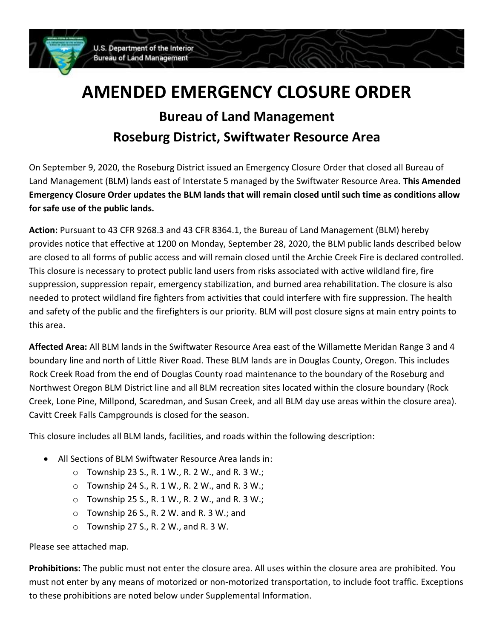

## **AMENDED EMERGENCY CLOSURE ORDER Bureau of Land Management Roseburg District, Swiftwater Resource Area**

On September 9, 2020, the Roseburg District issued an Emergency Closure Order that closed all Bureau of Land Management (BLM) lands east of Interstate 5 managed by the Swiftwater Resource Area. **This Amended Emergency Closure Order updates the BLM lands that will remain closed until such time as conditions allow for safe use of the public lands.**

**Action:** Pursuant to 43 CFR 9268.3 and 43 CFR 8364.1, the Bureau of Land Management (BLM) hereby provides notice that effective at 1200 on Monday, September 28, 2020, the BLM public lands described below are closed to all forms of public access and will remain closed until the Archie Creek Fire is declared controlled. This closure is necessary to protect public land users from risks associated with active wildland fire, fire suppression, suppression repair, emergency stabilization, and burned area rehabilitation. The closure is also needed to protect wildland fire fighters from activities that could interfere with fire suppression. The health and safety of the public and the firefighters is our priority. BLM will post closure signs at main entry points to this area.

**Affected Area:** All BLM lands in the Swiftwater Resource Area east of the Willamette Meridan Range 3 and 4 boundary line and north of Little River Road. These BLM lands are in Douglas County, Oregon. This includes Rock Creek Road from the end of Douglas County road maintenance to the boundary of the Roseburg and Northwest Oregon BLM District line and all BLM recreation sites located within the closure boundary (Rock Creek, Lone Pine, Millpond, Scaredman, and Susan Creek, and all BLM day use areas within the closure area). Cavitt Creek Falls Campgrounds is closed for the season.

This closure includes all BLM lands, facilities, and roads within the following description:

- All Sections of BLM Swiftwater Resource Area lands in:
	- $\circ$  Township 23 S., R. 1 W., R. 2 W., and R. 3 W.;
	- $\circ$  Township 24 S., R. 1 W., R. 2 W., and R. 3 W.;
	- $\circ$  Township 25 S., R. 1 W., R. 2 W., and R. 3 W.;
	- $\circ$  Township 26 S., R. 2 W. and R. 3 W.; and
	- $\circ$  Township 27 S., R. 2 W., and R. 3 W.

Please see attached map.

**Prohibitions:** The public must not enter the closure area. All uses within the closure area are prohibited. You must not enter by any means of motorized or non-motorized transportation, to include foot traffic. Exceptions to these prohibitions are noted below under Supplemental Information.